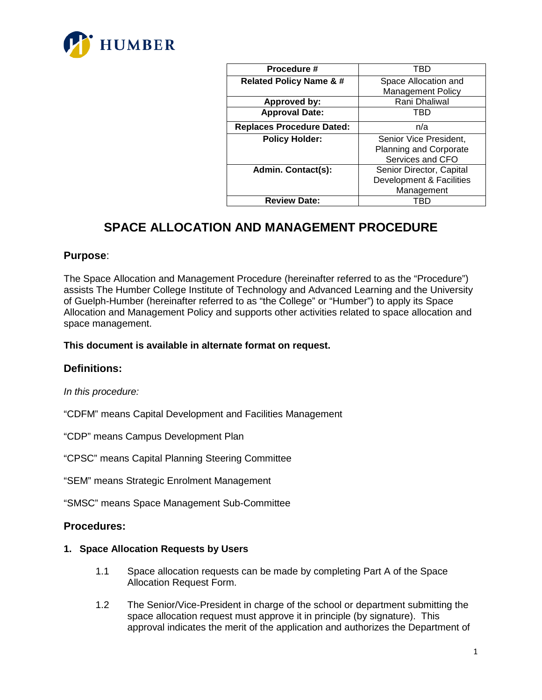

| Procedure #                        | TBD                      |
|------------------------------------|--------------------------|
| <b>Related Policy Name &amp; #</b> | Space Allocation and     |
|                                    | <b>Management Policy</b> |
| <b>Approved by:</b>                | Rani Dhaliwal            |
| <b>Approval Date:</b>              | TRD                      |
| <b>Replaces Procedure Dated:</b>   | n/a                      |
| <b>Policy Holder:</b>              | Senior Vice President,   |
|                                    | Planning and Corporate   |
|                                    | Services and CFO         |
| <b>Admin. Contact(s):</b>          | Senior Director, Capital |
|                                    | Development & Facilities |
|                                    | Management               |
| <b>Review Date:</b>                |                          |

# **SPACE ALLOCATION AND MANAGEMENT PROCEDURE**

### **Purpose**:

The Space Allocation and Management Procedure (hereinafter referred to as the "Procedure") assists The Humber College Institute of Technology and Advanced Learning and the University of Guelph-Humber (hereinafter referred to as "the College" or "Humber") to apply its Space Allocation and Management Policy and supports other activities related to space allocation and space management.

#### **This document is available in alternate format on request.**

#### **Definitions:**

#### *In this procedure:*

"CDFM" means Capital Development and Facilities Management

"CDP" means Campus Development Plan

"CPSC" means Capital Planning Steering Committee

"SEM" means Strategic Enrolment Management

"SMSC" means Space Management Sub-Committee

#### **Procedures:**

#### **1. Space Allocation Requests by Users**

- 1.1 Space allocation requests can be made by completing Part A of the Space Allocation Request Form.
- 1.2 The Senior/Vice-President in charge of the school or department submitting the space allocation request must approve it in principle (by signature). This approval indicates the merit of the application and authorizes the Department of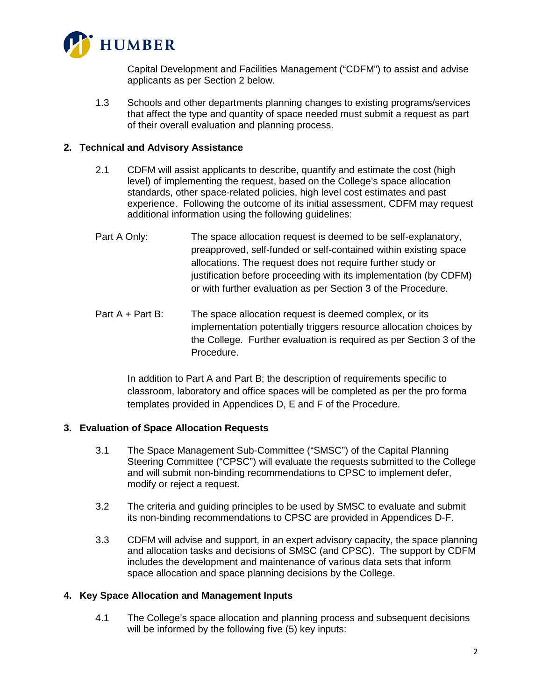

Capital Development and Facilities Management ("CDFM") to assist and advise applicants as per Section 2 below.

1.3 Schools and other departments planning changes to existing programs/services that affect the type and quantity of space needed must submit a request as part of their overall evaluation and planning process.

#### **2. Technical and Advisory Assistance**

- 2.1 CDFM will assist applicants to describe, quantify and estimate the cost (high level) of implementing the request, based on the College's space allocation standards, other space-related policies, high level cost estimates and past experience. Following the outcome of its initial assessment, CDFM may request additional information using the following guidelines:
- Part A Only: The space allocation request is deemed to be self-explanatory, preapproved, self-funded or self-contained within existing space allocations. The request does not require further study or justification before proceeding with its implementation (by CDFM) or with further evaluation as per Section 3 of the Procedure.
- Part A + Part B: The space allocation request is deemed complex, or its implementation potentially triggers resource allocation choices by the College. Further evaluation is required as per Section 3 of the Procedure.

In addition to Part A and Part B; the description of requirements specific to classroom, laboratory and office spaces will be completed as per the pro forma templates provided in Appendices D, E and F of the Procedure.

#### **3. Evaluation of Space Allocation Requests**

- 3.1 The Space Management Sub-Committee ("SMSC") of the Capital Planning Steering Committee ("CPSC") will evaluate the requests submitted to the College and will submit non-binding recommendations to CPSC to implement defer, modify or reject a request.
- 3.2 The criteria and guiding principles to be used by SMSC to evaluate and submit its non-binding recommendations to CPSC are provided in Appendices D-F.
- 3.3 CDFM will advise and support, in an expert advisory capacity, the space planning and allocation tasks and decisions of SMSC (and CPSC). The support by CDFM includes the development and maintenance of various data sets that inform space allocation and space planning decisions by the College.

#### **4. Key Space Allocation and Management Inputs**

4.1 The College's space allocation and planning process and subsequent decisions will be informed by the following five (5) key inputs: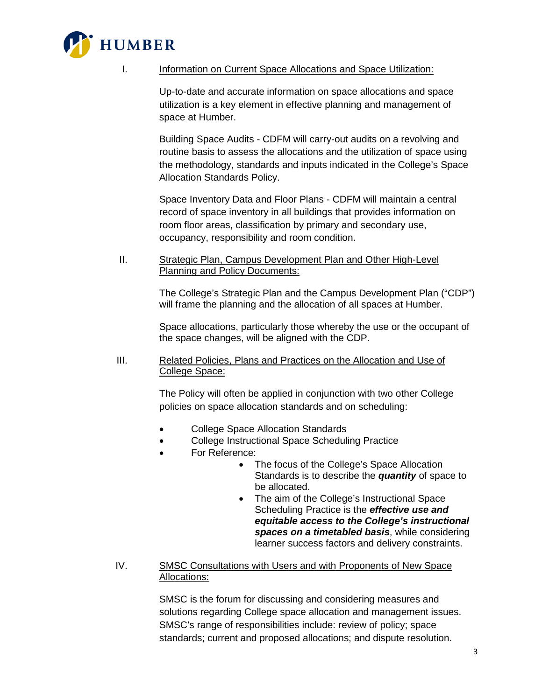

I. Information on Current Space Allocations and Space Utilization:

Up-to-date and accurate information on space allocations and space utilization is a key element in effective planning and management of space at Humber.

Building Space Audits - CDFM will carry-out audits on a revolving and routine basis to assess the allocations and the utilization of space using the methodology, standards and inputs indicated in the College's Space Allocation Standards Policy.

Space Inventory Data and Floor Plans - CDFM will maintain a central record of space inventory in all buildings that provides information on room floor areas, classification by primary and secondary use, occupancy, responsibility and room condition.

II. Strategic Plan, Campus Development Plan and Other High-Level Planning and Policy Documents:

> The College's Strategic Plan and the Campus Development Plan ("CDP") will frame the planning and the allocation of all spaces at Humber.

Space allocations, particularly those whereby the use or the occupant of the space changes, will be aligned with the CDP.

III. Related Policies, Plans and Practices on the Allocation and Use of College Space:

> The Policy will often be applied in conjunction with two other College policies on space allocation standards and on scheduling:

- College Space Allocation Standards
- College Instructional Space Scheduling Practice
- For Reference:
	- The focus of the College's Space Allocation Standards is to describe the *quantity* of space to be allocated.
	- The aim of the College's Instructional Space Scheduling Practice is the *effective use and equitable access to the College's instructional spaces on a timetabled basis*, while considering learner success factors and delivery constraints.
- IV. SMSC Consultations with Users and with Proponents of New Space Allocations:

SMSC is the forum for discussing and considering measures and solutions regarding College space allocation and management issues. SMSC's range of responsibilities include: review of policy; space standards; current and proposed allocations; and dispute resolution.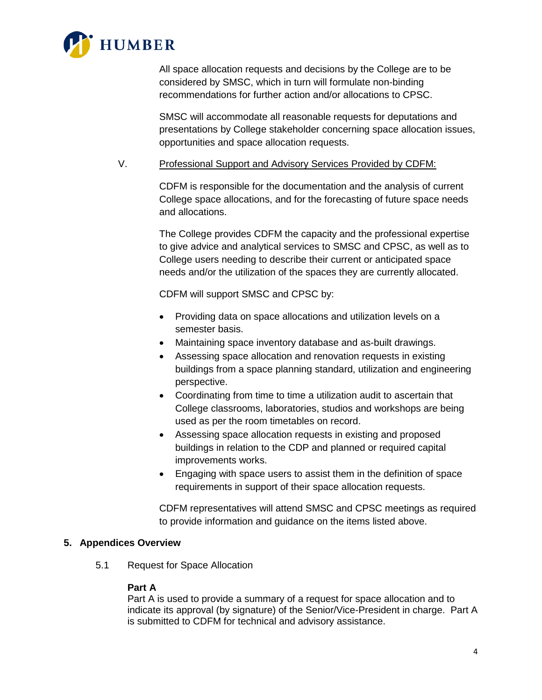

All space allocation requests and decisions by the College are to be considered by SMSC, which in turn will formulate non-binding recommendations for further action and/or allocations to CPSC.

SMSC will accommodate all reasonable requests for deputations and presentations by College stakeholder concerning space allocation issues, opportunities and space allocation requests.

#### V. Professional Support and Advisory Services Provided by CDFM:

CDFM is responsible for the documentation and the analysis of current College space allocations, and for the forecasting of future space needs and allocations.

The College provides CDFM the capacity and the professional expertise to give advice and analytical services to SMSC and CPSC, as well as to College users needing to describe their current or anticipated space needs and/or the utilization of the spaces they are currently allocated.

CDFM will support SMSC and CPSC by:

- Providing data on space allocations and utilization levels on a semester basis.
- Maintaining space inventory database and as-built drawings.
- Assessing space allocation and renovation requests in existing buildings from a space planning standard, utilization and engineering perspective.
- Coordinating from time to time a utilization audit to ascertain that College classrooms, laboratories, studios and workshops are being used as per the room timetables on record.
- Assessing space allocation requests in existing and proposed buildings in relation to the CDP and planned or required capital improvements works.
- Engaging with space users to assist them in the definition of space requirements in support of their space allocation requests.

CDFM representatives will attend SMSC and CPSC meetings as required to provide information and guidance on the items listed above.

#### **5. Appendices Overview**

5.1 Request for Space Allocation

#### **Part A**

Part A is used to provide a summary of a request for space allocation and to indicate its approval (by signature) of the Senior/Vice-President in charge. Part A is submitted to CDFM for technical and advisory assistance.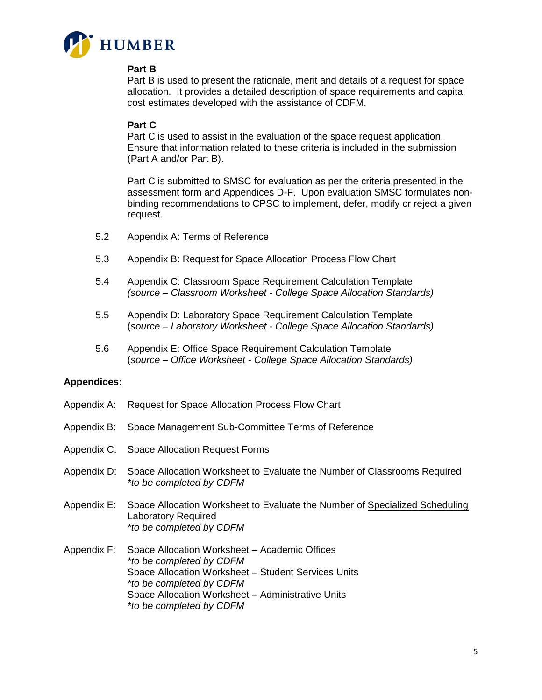

#### **Part B**

Part B is used to present the rationale, merit and details of a request for space allocation. It provides a detailed description of space requirements and capital cost estimates developed with the assistance of CDFM.

#### **Part C**

Part C is used to assist in the evaluation of the space request application. Ensure that information related to these criteria is included in the submission (Part A and/or Part B).

Part C is submitted to SMSC for evaluation as per the criteria presented in the assessment form and Appendices D-F. Upon evaluation SMSC formulates nonbinding recommendations to CPSC to implement, defer, modify or reject a given request.

- 5.2 Appendix A: Terms of Reference
- 5.3 Appendix B: Request for Space Allocation Process Flow Chart
- 5.4 Appendix C: Classroom Space Requirement Calculation Template *(source – Classroom Worksheet - College Space Allocation Standards)*
- 5.5 Appendix D: Laboratory Space Requirement Calculation Template (*source – Laboratory Worksheet - College Space Allocation Standards)*
- 5.6 Appendix E: Office Space Requirement Calculation Template (*source – Office Worksheet - College Space Allocation Standards)*

#### **Appendices:**

- Appendix A: Request for Space Allocation Process Flow Chart
- Appendix B: Space Management Sub-Committee Terms of Reference
- Appendix C: Space Allocation Request Forms
- Appendix D: Space Allocation Worksheet to Evaluate the Number of Classrooms Required *\*to be completed by CDFM*
- Appendix E: Space Allocation Worksheet to Evaluate the Number of Specialized Scheduling Laboratory Required *\*to be completed by CDFM*
- Appendix F: Space Allocation Worksheet Academic Offices *\*to be completed by CDFM*  Space Allocation Worksheet – Student Services Units *\*to be completed by CDFM* Space Allocation Worksheet – Administrative Units *\*to be completed by CDFM*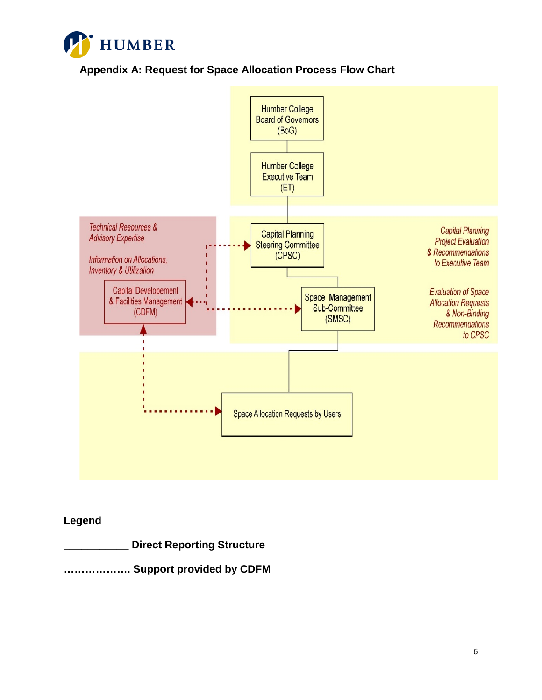

**Appendix A: Request for Space Allocation Process Flow Chart**



# **Legend**

**\_\_\_\_\_\_\_\_\_\_\_ Direct Reporting Structure**

**………………. Support provided by CDFM**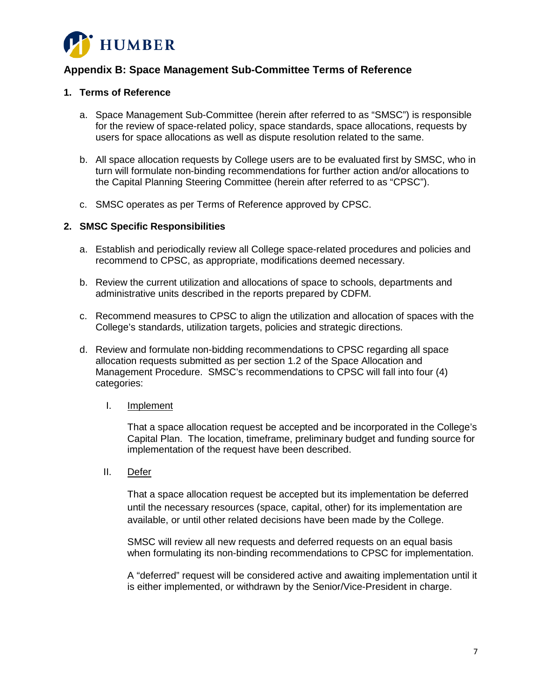

# **Appendix B: Space Management Sub-Committee Terms of Reference**

#### **1. Terms of Reference**

- a. Space Management Sub-Committee (herein after referred to as "SMSC") is responsible for the review of space-related policy, space standards, space allocations, requests by users for space allocations as well as dispute resolution related to the same.
- b. All space allocation requests by College users are to be evaluated first by SMSC, who in turn will formulate non-binding recommendations for further action and/or allocations to the Capital Planning Steering Committee (herein after referred to as "CPSC").
- c. SMSC operates as per Terms of Reference approved by CPSC.

#### **2. SMSC Specific Responsibilities**

- a. Establish and periodically review all College space-related procedures and policies and recommend to CPSC, as appropriate, modifications deemed necessary.
- b. Review the current utilization and allocations of space to schools, departments and administrative units described in the reports prepared by CDFM.
- c. Recommend measures to CPSC to align the utilization and allocation of spaces with the College's standards, utilization targets, policies and strategic directions.
- d. Review and formulate non-bidding recommendations to CPSC regarding all space allocation requests submitted as per section 1.2 of the Space Allocation and Management Procedure. SMSC's recommendations to CPSC will fall into four (4) categories:

#### I. Implement

That a space allocation request be accepted and be incorporated in the College's Capital Plan. The location, timeframe, preliminary budget and funding source for implementation of the request have been described.

II. Defer

That a space allocation request be accepted but its implementation be deferred until the necessary resources (space, capital, other) for its implementation are available, or until other related decisions have been made by the College.

SMSC will review all new requests and deferred requests on an equal basis when formulating its non-binding recommendations to CPSC for implementation.

A "deferred" request will be considered active and awaiting implementation until it is either implemented, or withdrawn by the Senior/Vice-President in charge.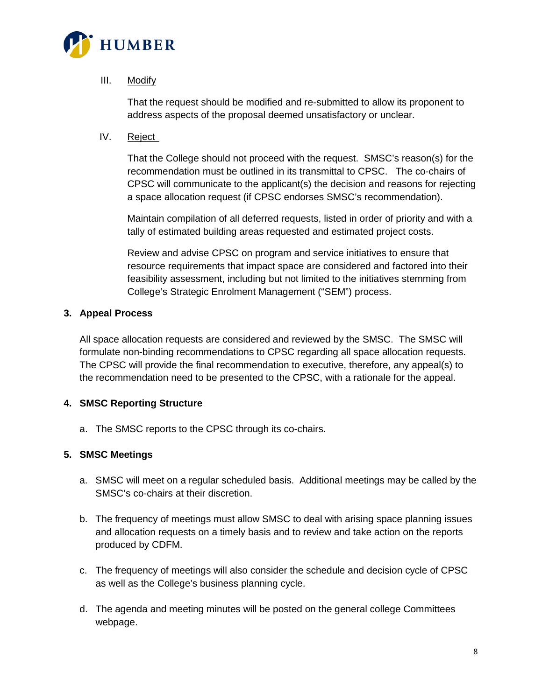

### III. Modify

That the request should be modified and re-submitted to allow its proponent to address aspects of the proposal deemed unsatisfactory or unclear.

IV. Reject

That the College should not proceed with the request. SMSC's reason(s) for the recommendation must be outlined in its transmittal to CPSC. The co-chairs of CPSC will communicate to the applicant(s) the decision and reasons for rejecting a space allocation request (if CPSC endorses SMSC's recommendation).

Maintain compilation of all deferred requests, listed in order of priority and with a tally of estimated building areas requested and estimated project costs.

Review and advise CPSC on program and service initiatives to ensure that resource requirements that impact space are considered and factored into their feasibility assessment, including but not limited to the initiatives stemming from College's Strategic Enrolment Management ("SEM") process.

#### **3. Appeal Process**

All space allocation requests are considered and reviewed by the SMSC. The SMSC will formulate non-binding recommendations to CPSC regarding all space allocation requests. The CPSC will provide the final recommendation to executive, therefore, any appeal(s) to the recommendation need to be presented to the CPSC, with a rationale for the appeal.

## **4. SMSC Reporting Structure**

a. The SMSC reports to the CPSC through its co-chairs.

#### **5. SMSC Meetings**

- a. SMSC will meet on a regular scheduled basis. Additional meetings may be called by the SMSC's co-chairs at their discretion.
- b. The frequency of meetings must allow SMSC to deal with arising space planning issues and allocation requests on a timely basis and to review and take action on the reports produced by CDFM.
- c. The frequency of meetings will also consider the schedule and decision cycle of CPSC as well as the College's business planning cycle.
- d. The agenda and meeting minutes will be posted on the general college Committees webpage.